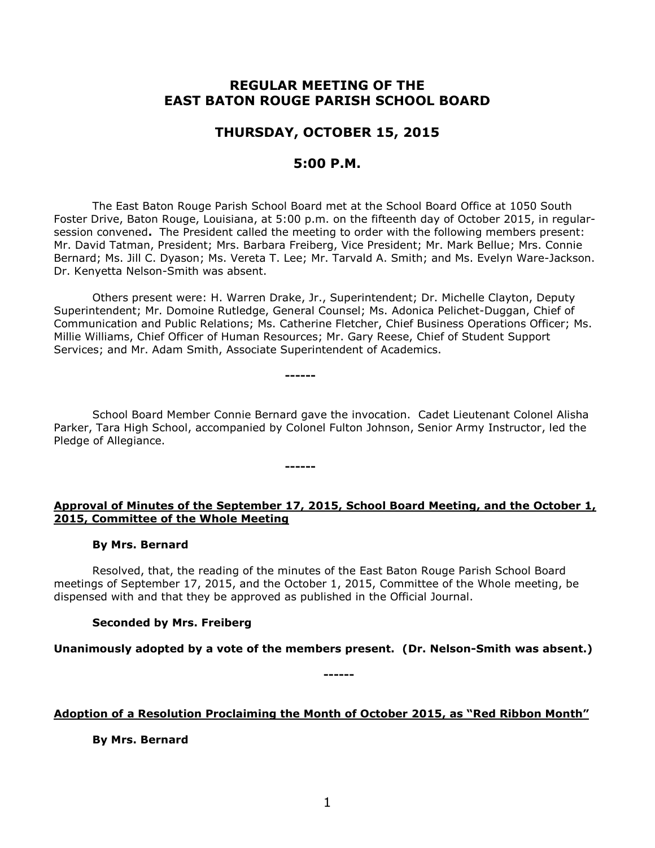# **REGULAR MEETING OF THE EAST BATON ROUGE PARISH SCHOOL BOARD**

# **THURSDAY, OCTOBER 15, 2015**

# **5:00 P.M.**

The East Baton Rouge Parish School Board met at the School Board Office at 1050 South Foster Drive, Baton Rouge, Louisiana, at 5:00 p.m. on the fifteenth day of October 2015, in regularsession convened**.** The President called the meeting to order with the following members present: Mr. David Tatman, President; Mrs. Barbara Freiberg, Vice President; Mr. Mark Bellue; Mrs. Connie Bernard; Ms. Jill C. Dyason; Ms. Vereta T. Lee; Mr. Tarvald A. Smith; and Ms. Evelyn Ware-Jackson. Dr. Kenyetta Nelson-Smith was absent.

Others present were: H. Warren Drake, Jr., Superintendent; Dr. Michelle Clayton, Deputy Superintendent; Mr. Domoine Rutledge, General Counsel; Ms. Adonica Pelichet-Duggan, Chief of Communication and Public Relations; Ms. Catherine Fletcher, Chief Business Operations Officer; Ms. Millie Williams, Chief Officer of Human Resources; Mr. Gary Reese, Chief of Student Support Services; and Mr. Adam Smith, Associate Superintendent of Academics.

School Board Member Connie Bernard gave the invocation. Cadet Lieutenant Colonel Alisha Parker, Tara High School, accompanied by Colonel Fulton Johnson, Senior Army Instructor, led the Pledge of Allegiance.

**------**

**------**

# **Approval of Minutes of the September 17, 2015, School Board Meeting, and the October 1, 2015, Committee of the Whole Meeting**

## **By Mrs. Bernard**

Resolved, that, the reading of the minutes of the East Baton Rouge Parish School Board meetings of September 17, 2015, and the October 1, 2015, Committee of the Whole meeting, be dispensed with and that they be approved as published in the Official Journal.

## **Seconded by Mrs. Freiberg**

**Unanimously adopted by a vote of the members present. (Dr. Nelson-Smith was absent.)**

**------**

**Adoption of a Resolution Proclaiming the Month of October 2015, as "Red Ribbon Month"**

**By Mrs. Bernard**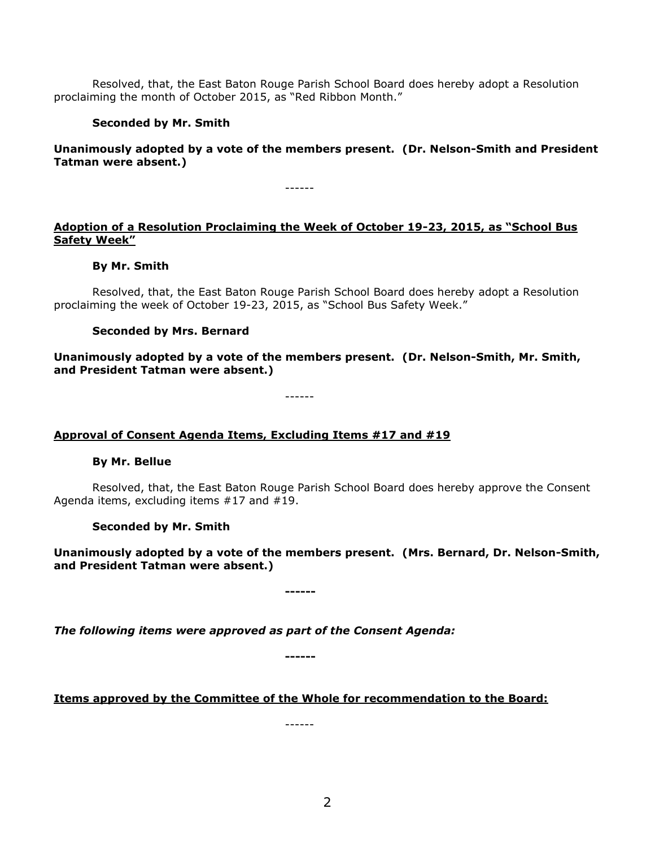Resolved, that, the East Baton Rouge Parish School Board does hereby adopt a Resolution proclaiming the month of October 2015, as "Red Ribbon Month."

# **Seconded by Mr. Smith**

**Unanimously adopted by a vote of the members present. (Dr. Nelson-Smith and President Tatman were absent.)**

------

# **Adoption of a Resolution Proclaiming the Week of October 19-23, 2015, as "School Bus Safety Week"**

## **By Mr. Smith**

Resolved, that, the East Baton Rouge Parish School Board does hereby adopt a Resolution proclaiming the week of October 19-23, 2015, as "School Bus Safety Week."

## **Seconded by Mrs. Bernard**

**Unanimously adopted by a vote of the members present. (Dr. Nelson-Smith, Mr. Smith, and President Tatman were absent.)**

------

## **Approval of Consent Agenda Items, Excluding Items #17 and #19**

## **By Mr. Bellue**

Resolved, that, the East Baton Rouge Parish School Board does hereby approve the Consent Agenda items, excluding items #17 and #19.

## **Seconded by Mr. Smith**

**Unanimously adopted by a vote of the members present. (Mrs. Bernard, Dr. Nelson-Smith, and President Tatman were absent.)**

**------**

*The following items were approved as part of the Consent Agenda:*

**------**

## **Items approved by the Committee of the Whole for recommendation to the Board:**

------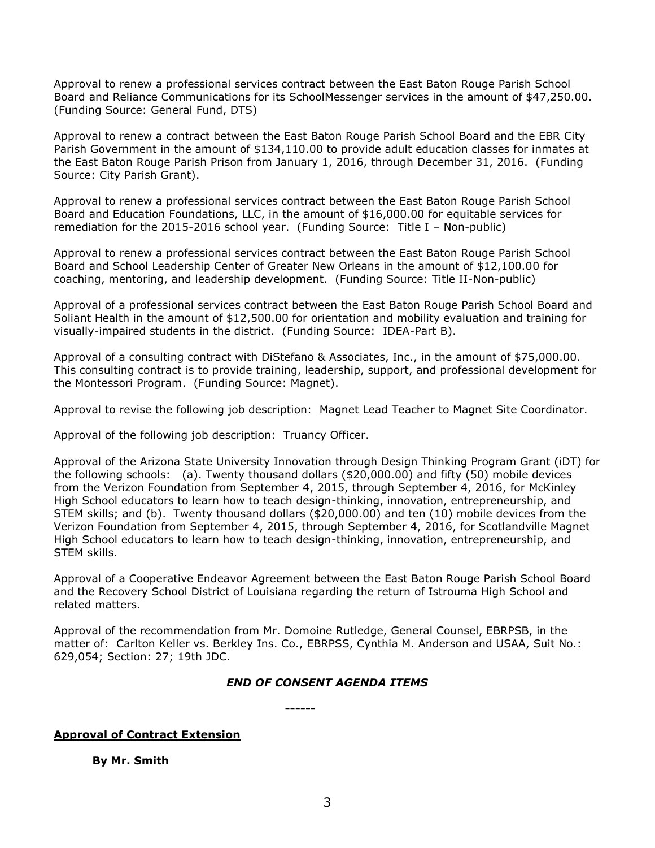Approval to renew a professional services contract between the East Baton Rouge Parish School Board and Reliance Communications for its SchoolMessenger services in the amount of \$47,250.00. (Funding Source: General Fund, DTS)

Approval to renew a contract between the East Baton Rouge Parish School Board and the EBR City Parish Government in the amount of \$134,110.00 to provide adult education classes for inmates at the East Baton Rouge Parish Prison from January 1, 2016, through December 31, 2016. (Funding Source: City Parish Grant).

Approval to renew a professional services contract between the East Baton Rouge Parish School Board and Education Foundations, LLC, in the amount of \$16,000.00 for equitable services for remediation for the 2015-2016 school year. (Funding Source: Title I – Non-public)

Approval to renew a professional services contract between the East Baton Rouge Parish School Board and School Leadership Center of Greater New Orleans in the amount of \$12,100.00 for coaching, mentoring, and leadership development. (Funding Source: Title II-Non-public)

Approval of a professional services contract between the East Baton Rouge Parish School Board and Soliant Health in the amount of \$12,500.00 for orientation and mobility evaluation and training for visually-impaired students in the district. (Funding Source: IDEA-Part B).

Approval of a consulting contract with DiStefano & Associates, Inc., in the amount of \$75,000.00. This consulting contract is to provide training, leadership, support, and professional development for the Montessori Program. (Funding Source: Magnet).

Approval to revise the following job description: Magnet Lead Teacher to Magnet Site Coordinator.

Approval of the following job description: Truancy Officer.

Approval of the Arizona State University Innovation through Design Thinking Program Grant (iDT) for the following schools: (a). Twenty thousand dollars (\$20,000.00) and fifty (50) mobile devices from the Verizon Foundation from September 4, 2015, through September 4, 2016, for McKinley High School educators to learn how to teach design-thinking, innovation, entrepreneurship, and STEM skills; and (b). Twenty thousand dollars (\$20,000.00) and ten (10) mobile devices from the Verizon Foundation from September 4, 2015, through September 4, 2016, for Scotlandville Magnet High School educators to learn how to teach design-thinking, innovation, entrepreneurship, and STEM skills.

Approval of a Cooperative Endeavor Agreement between the East Baton Rouge Parish School Board and the Recovery School District of Louisiana regarding the return of Istrouma High School and related matters.

Approval of the recommendation from Mr. Domoine Rutledge, General Counsel, EBRPSB, in the matter of: Carlton Keller vs. Berkley Ins. Co., EBRPSS, Cynthia M. Anderson and USAA, Suit No.: 629,054; Section: 27; 19th JDC.

## *END OF CONSENT AGENDA ITEMS*

**------**

## **Approval of Contract Extension**

**By Mr. Smith**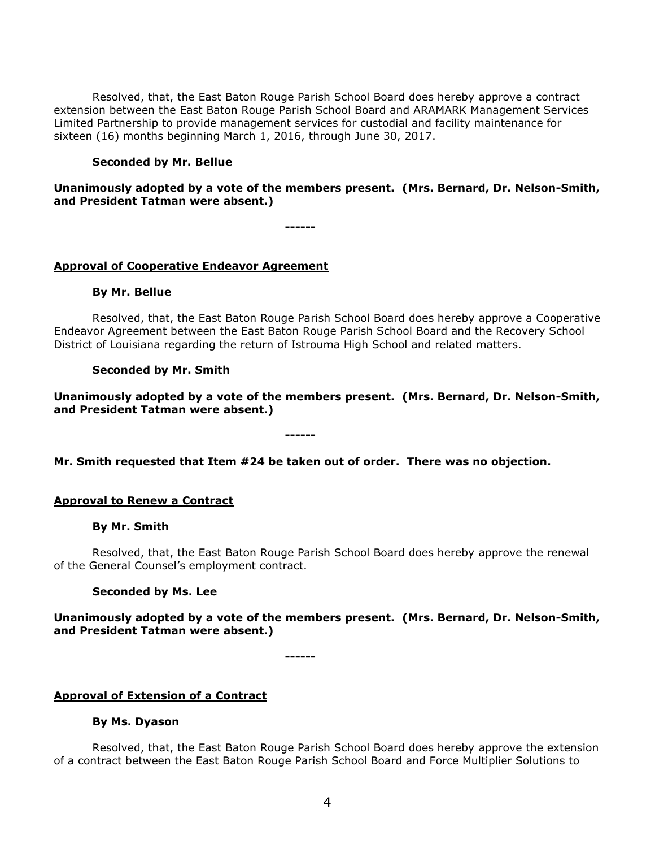Resolved, that, the East Baton Rouge Parish School Board does hereby approve a contract extension between the East Baton Rouge Parish School Board and ARAMARK Management Services Limited Partnership to provide management services for custodial and facility maintenance for sixteen (16) months beginning March 1, 2016, through June 30, 2017.

## **Seconded by Mr. Bellue**

## **Unanimously adopted by a vote of the members present. (Mrs. Bernard, Dr. Nelson-Smith, and President Tatman were absent.)**

**------**

## **Approval of Cooperative Endeavor Agreement**

## **By Mr. Bellue**

Resolved, that, the East Baton Rouge Parish School Board does hereby approve a Cooperative Endeavor Agreement between the East Baton Rouge Parish School Board and the Recovery School District of Louisiana regarding the return of Istrouma High School and related matters.

## **Seconded by Mr. Smith**

**Unanimously adopted by a vote of the members present. (Mrs. Bernard, Dr. Nelson-Smith, and President Tatman were absent.)**

**Mr. Smith requested that Item #24 be taken out of order. There was no objection.**

**------**

## **Approval to Renew a Contract**

#### **By Mr. Smith**

Resolved, that, the East Baton Rouge Parish School Board does hereby approve the renewal of the General Counsel's employment contract.

#### **Seconded by Ms. Lee**

**Unanimously adopted by a vote of the members present. (Mrs. Bernard, Dr. Nelson-Smith, and President Tatman were absent.)**

**------**

#### **Approval of Extension of a Contract**

#### **By Ms. Dyason**

Resolved, that, the East Baton Rouge Parish School Board does hereby approve the extension of a contract between the East Baton Rouge Parish School Board and Force Multiplier Solutions to